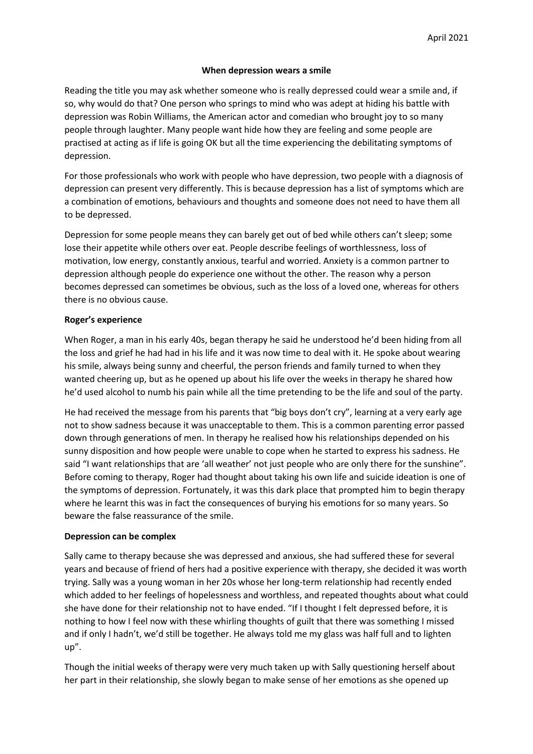### **When depression wears a smile**

Reading the title you may ask whether someone who is really depressed could wear a smile and, if so, why would do that? One person who springs to mind who was adept at hiding his battle with depression was Robin Williams, the American actor and comedian who brought joy to so many people through laughter. Many people want hide how they are feeling and some people are practised at acting as if life is going OK but all the time experiencing the debilitating symptoms of depression.

For those professionals who work with people who have depression, two people with a diagnosis of depression can present very differently. This is because depression has a list of symptoms which are a combination of emotions, behaviours and thoughts and someone does not need to have them all to be depressed.

Depression for some people means they can barely get out of bed while others can't sleep; some lose their appetite while others over eat. People describe feelings of worthlessness, loss of motivation, low energy, constantly anxious, tearful and worried. Anxiety is a common partner to depression although people do experience one without the other. The reason why a person becomes depressed can sometimes be obvious, such as the loss of a loved one, whereas for others there is no obvious cause.

## **Roger's experience**

When Roger, a man in his early 40s, began therapy he said he understood he'd been hiding from all the loss and grief he had had in his life and it was now time to deal with it. He spoke about wearing his smile, always being sunny and cheerful, the person friends and family turned to when they wanted cheering up, but as he opened up about his life over the weeks in therapy he shared how he'd used alcohol to numb his pain while all the time pretending to be the life and soul of the party.

He had received the message from his parents that "big boys don't cry", learning at a very early age not to show sadness because it was unacceptable to them. This is a common parenting error passed down through generations of men. In therapy he realised how his relationships depended on his sunny disposition and how people were unable to cope when he started to express his sadness. He said "I want relationships that are 'all weather' not just people who are only there for the sunshine". Before coming to therapy, Roger had thought about taking his own life and suicide ideation is one of the symptoms of depression. Fortunately, it was this dark place that prompted him to begin therapy where he learnt this was in fact the consequences of burying his emotions for so many years. So beware the false reassurance of the smile.

#### **Depression can be complex**

Sally came to therapy because she was depressed and anxious, she had suffered these for several years and because of friend of hers had a positive experience with therapy, she decided it was worth trying. Sally was a young woman in her 20s whose her long-term relationship had recently ended which added to her feelings of hopelessness and worthless, and repeated thoughts about what could she have done for their relationship not to have ended. "If I thought I felt depressed before, it is nothing to how I feel now with these whirling thoughts of guilt that there was something I missed and if only I hadn't, we'd still be together. He always told me my glass was half full and to lighten up".

Though the initial weeks of therapy were very much taken up with Sally questioning herself about her part in their relationship, she slowly began to make sense of her emotions as she opened up